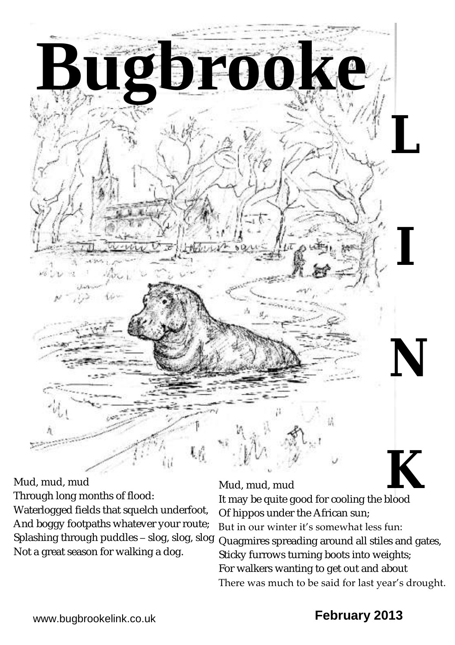

Mud, mud, mud

Through long months of flood:

Waterlogged fields that squelch underfoot, And boggy footpaths whatever your route; Splashing through puddles – slog, slog, slog Not a great season for walking a dog.

### Mud, mud, mud

Of hippos under the African sun; But in our winter it's somewhat less fun:

Quagmires spreading around all stiles and gates, Sticky furrows turning boots into weights; For walkers wanting to get out and about There was much to be said for last year's drought.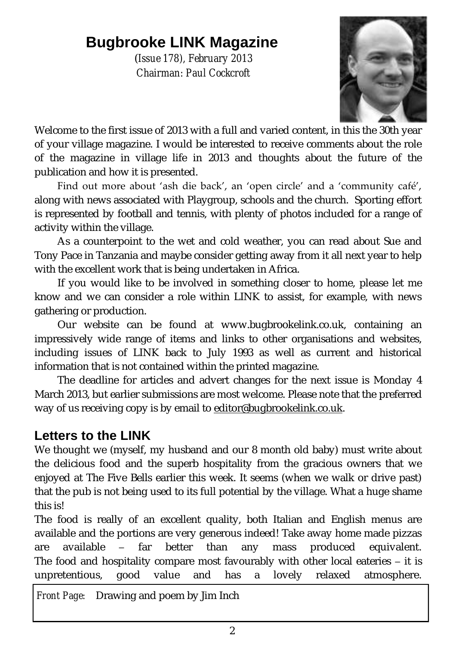# **Bugbrooke LINK Magazine**

(*Issue 178), February 2013 Chairman: Paul Cockcroft*



Welcome to the first issue of 2013 with a full and varied content, in this the 30th year of your village magazine. I would be interested to receive comments about the role of the magazine in village life in 2013 and thoughts about the future of the publication and how it is presented.

Find out more about 'ash die back', an 'open circle' and a 'community café', along with news associated with Playgroup, schools and the church. Sporting effort is represented by football and tennis, with plenty of photos included for a range of activity within the village.

As a counterpoint to the wet and cold weather, you can read about Sue and Tony Pace in Tanzania and maybe consider getting away from it all next year to help with the excellent work that is being undertaken in Africa.

If you would like to be involved in something closer to home, please let me know and we can consider a role within LINK to assist, for example, with news gathering or production.

Our website can be found at [www.bugbrookelink.co.uk,](file:///C:/Users/dell/AppData/Local/Microsoft/Windows/Temporary%20Internet%20Files/Content.Outlook/Local%20Settings/Temporary%20Internet%20Files/LINK%20Issue%20142%20(Feb%2007)/www.bugbrookelink.co.uk) containing an impressively wide range of items and links to other organisations and websites, including issues of LINK back to July 1993 as well as current and historical information that is not contained within the printed magazine.

The deadline for articles and advert changes for the next issue is Monday 4 March 2013, but earlier submissions are most welcome. Please note that the preferred way of us receiving copy is by email to [editor@bugbrookelink.co.uk.](mailto:editor@bugbrookelink.co.uk)

### **Letters to the LINK**

We thought we (myself, my husband and our 8 month old baby) must write about the delicious food and the superb hospitality from the gracious owners that we enjoyed at The Five Bells earlier this week. It seems (when we walk or drive past) that the pub is not being used to its full potential by the village. What a huge shame this is!

The food is really of an excellent quality, both Italian and English menus are available and the portions are very generous indeed! Take away home made pizzas are available – far better than any mass produced equivalent. The food and hospitality compare most favourably with other local eateries – it is unpretentious, good value and has a lovely relaxed atmosphere.

*Front Page:* Drawing and poem by Jim Inch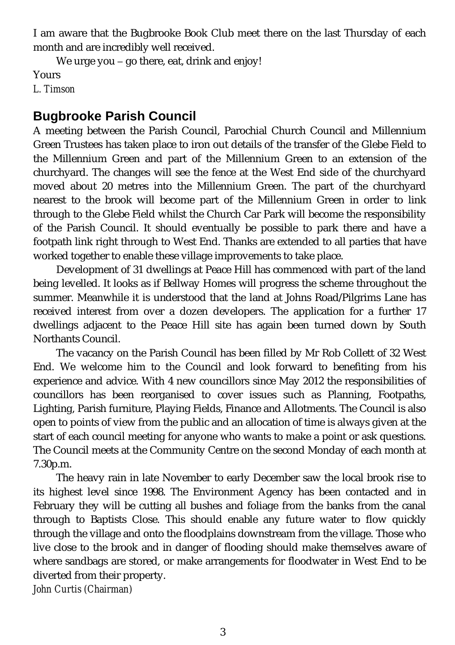I am aware that the Bugbrooke Book Club meet there on the last Thursday of each month and are incredibly well received.

We urge you – go there, eat, drink and enjoy! Yours *L. Timson* 

### **Bugbrooke Parish Council**

A meeting between the Parish Council, Parochial Church Council and Millennium Green Trustees has taken place to iron out details of the transfer of the Glebe Field to the Millennium Green and part of the Millennium Green to an extension of the churchyard. The changes will see the fence at the West End side of the churchyard moved about 20 metres into the Millennium Green. The part of the churchyard nearest to the brook will become part of the Millennium Green in order to link through to the Glebe Field whilst the Church Car Park will become the responsibility of the Parish Council. It should eventually be possible to park there and have a footpath link right through to West End. Thanks are extended to all parties that have worked together to enable these village improvements to take place.

Development of 31 dwellings at Peace Hill has commenced with part of the land being levelled. It looks as if Bellway Homes will progress the scheme throughout the summer. Meanwhile it is understood that the land at Johns Road/Pilgrims Lane has received interest from over a dozen developers. The application for a further 17 dwellings adjacent to the Peace Hill site has again been turned down by South Northants Council.

The vacancy on the Parish Council has been filled by Mr Rob Collett of 32 West End. We welcome him to the Council and look forward to benefiting from his experience and advice. With 4 new councillors since May 2012 the responsibilities of councillors has been reorganised to cover issues such as Planning, Footpaths, Lighting, Parish furniture, Playing Fields, Finance and Allotments. The Council is also open to points of view from the public and an allocation of time is always given at the start of each council meeting for anyone who wants to make a point or ask questions. The Council meets at the Community Centre on the second Monday of each month at 7.30p.m.

The heavy rain in late November to early December saw the local brook rise to its highest level since 1998. The Environment Agency has been contacted and in February they will be cutting all bushes and foliage from the banks from the canal through to Baptists Close. This should enable any future water to flow quickly through the village and onto the floodplains downstream from the village. Those who live close to the brook and in danger of flooding should make themselves aware of where sandbags are stored, or make arrangements for floodwater in West End to be diverted from their property. *John Curtis (Chairman)*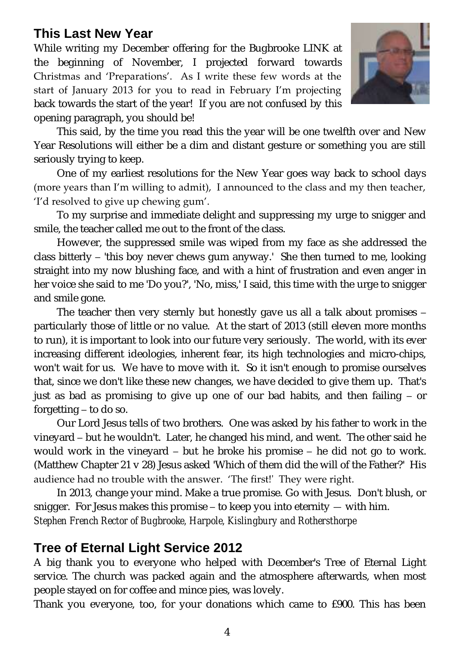### **This Last New Year**

While writing my December offering for the Bugbrooke LINK at the beginning of November, I projected forward towards Christmas and 'Preparations'. As I write these few words at the start of January 2013 for you to read in February I'm projecting back towards the start of the year! If you are not confused by this opening paragraph, you should be!



This said, by the time you read this the year will be one twelfth over and New Year Resolutions will either be a dim and distant gesture or something you are still seriously trying to keep.

One of my earliest resolutions for the New Year goes way back to school days (more years than I'm willing to admit), I announced to the class and my then teacher, 'I'd resolved to give up chewing gum'.

To my surprise and immediate delight and suppressing my urge to snigger and smile, the teacher called me out to the front of the class.

However, the suppressed smile was wiped from my face as she addressed the class bitterly – 'this boy never chews gum anyway.' She then turned to me, looking straight into my now blushing face, and with a hint of frustration and even anger in her voice she said to me 'Do you?', 'No, miss,' I said, this time with the urge to snigger and smile gone.

The teacher then very sternly but honestly gave us all a talk about promises – particularly those of little or no value. At the start of 2013 (still eleven more months to run), it is important to look into our future very seriously. The world, with its ever increasing different ideologies, inherent fear, its high technologies and micro-chips, won't wait for us. We have to move with it. So it isn't enough to promise ourselves that, since we don't like these new changes, we have decided to give them up. That's just as bad as promising to give up one of our bad habits, and then failing – or forgetting – to do so.

Our Lord Jesus tells of two brothers. One was asked by his father to work in the vineyard – but he wouldn't. Later, he changed his mind, and went. The other said he would work in the vineyard – but he broke his promise – he did not go to work. (Matthew Chapter 21 v 28) Jesus asked 'Which of them did the will of the Father?' His audience had no trouble with the answer. 'The first!' They were right.

In 2013, change your mind. Make a true promise. Go with Jesus. Don't blush, or snigger. For Jesus makes this promise – to keep you into eternity — with him. *Stephen French Rector of Bugbrooke, Harpole, Kislingbury and Rothersthorpe*

### **Tree of Eternal Light Service 2012**

A big thank you to everyone who helped with December's Tree of Eternal Light service. The church was packed again and the atmosphere afterwards, when most people stayed on for coffee and mince pies, was lovely.

Thank you everyone, too, for your donations which came to £900. This has been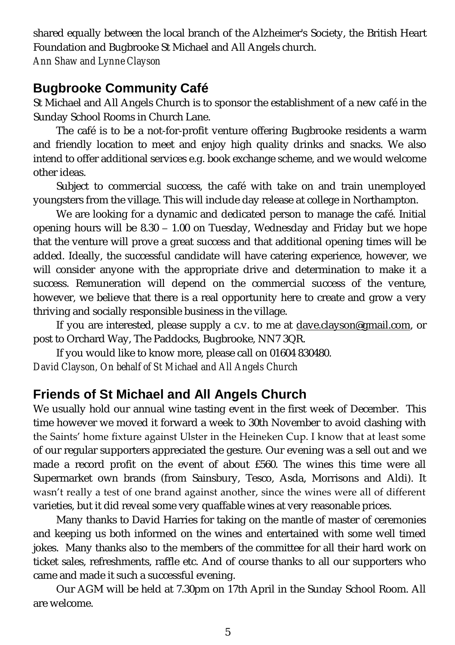shared equally between the local branch of the Alzheimer's Society, the British Heart Foundation and Bugbrooke St Michael and All Angels church. *Ann Shaw and Lynne Clayson* 

### **Bugbrooke Community Café**

St Michael and All Angels Church is to sponsor the establishment of a new café in the Sunday School Rooms in Church Lane.

The café is to be a not-for-profit venture offering Bugbrooke residents a warm and friendly location to meet and enjoy high quality drinks and snacks. We also intend to offer additional services e.g. book exchange scheme, and we would welcome other ideas.

Subject to commercial success, the café with take on and train unemployed youngsters from the village. This will include day release at college in Northampton.

We are looking for a dynamic and dedicated person to manage the café. Initial opening hours will be 8.30 – 1.00 on Tuesday, Wednesday and Friday but we hope that the venture will prove a great success and that additional opening times will be added. Ideally, the successful candidate will have catering experience, however, we will consider anyone with the appropriate drive and determination to make it a success. Remuneration will depend on the commercial success of the venture, however, we believe that there is a real opportunity here to create and grow a very thriving and socially responsible business in the village.

If you are interested, please supply a c.v. to me at [dave.clayson@gmail.com,](mailto:dave.clayson@gmail.com) or post to Orchard Way, The Paddocks, Bugbrooke, NN7 3QR.

If you would like to know more, please call on 01604 830480. *David Clayson, On behalf of St Michael and All Angels Church* 

### **Friends of St Michael and All Angels Church**

We usually hold our annual wine tasting event in the first week of December. This time however we moved it forward a week to 30th November to avoid clashing with the Saints' home fixture against Ulster in the Heineken Cup. I know that at least some of our regular supporters appreciated the gesture. Our evening was a sell out and we made a record profit on the event of about £560. The wines this time were all Supermarket own brands (from Sainsbury, Tesco, Asda, Morrisons and Aldi). It wasn't really a test of one brand against another, since the wines were all of different varieties, but it did reveal some very quaffable wines at very reasonable prices.

Many thanks to David Harries for taking on the mantle of master of ceremonies and keeping us both informed on the wines and entertained with some well timed jokes. Many thanks also to the members of the committee for all their hard work on ticket sales, refreshments, raffle etc. And of course thanks to all our supporters who came and made it such a successful evening.

Our AGM will be held at 7.30pm on 17th April in the Sunday School Room. All are welcome.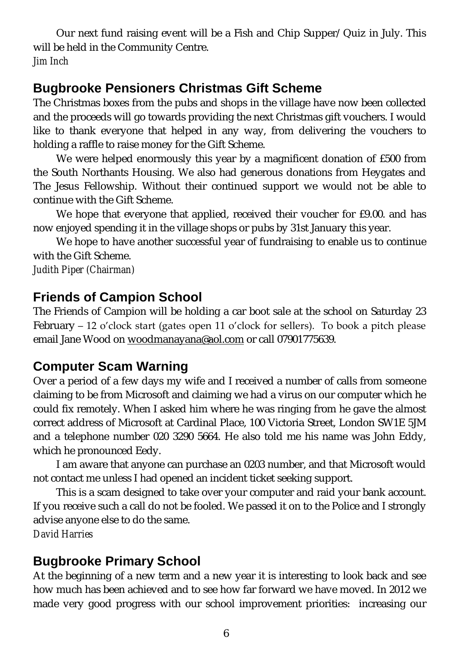Our next fund raising event will be a Fish and Chip Supper/ Quiz in July. This will be held in the Community Centre. *Jim Inch*

### **Bugbrooke Pensioners Christmas Gift Scheme**

The Christmas boxes from the pubs and shops in the village have now been collected and the proceeds will go towards providing the next Christmas gift vouchers. I would like to thank everyone that helped in any way, from delivering the vouchers to holding a raffle to raise money for the Gift Scheme.

We were helped enormously this year by a magnificent donation of £500 from the South Northants Housing. We also had generous donations from Heygates and The Jesus Fellowship. Without their continued support we would not be able to continue with the Gift Scheme.

We hope that everyone that applied, received their voucher for £9.00. and has now enjoyed spending it in the village shops or pubs by 31st January this year.

We hope to have another successful year of fundraising to enable us to continue with the Gift Scheme.

*Judith Piper (Chairman)* 

### **Friends of Campion School**

The Friends of Campion will be holding a car boot sale at the school on Saturday 23 February  $-12$  o'clock start (gates open 11 o'clock for sellers). To book a pitch please email Jane Wood on [woodmanayana@aol.com](mailto:woodmanayana@aol.com) or call 07901775639.

### **Computer Scam Warning**

Over a period of a few days my wife and I received a number of calls from someone claiming to be from Microsoft and claiming we had a virus on our computer which he could fix remotely. When I asked him where he was ringing from he gave the almost correct address of Microsoft at Cardinal Place, 100 Victoria Street, London SW1E 5JM and a telephone number 020 3290 5664. He also told me his name was John Eddy, which he pronounced Eedy.

I am aware that anyone can purchase an 0203 number, and that Microsoft would not contact me unless I had opened an incident ticket seeking support.

This is a scam designed to take over your computer and raid your bank account. If you receive such a call do not be fooled. We passed it on to the Police and I strongly advise anyone else to do the same.

*David Harries*

### **Bugbrooke Primary School**

At the beginning of a new term and a new year it is interesting to look back and see how much has been achieved and to see how far forward we have moved. In 2012 we made very good progress with our school improvement priorities: increasing our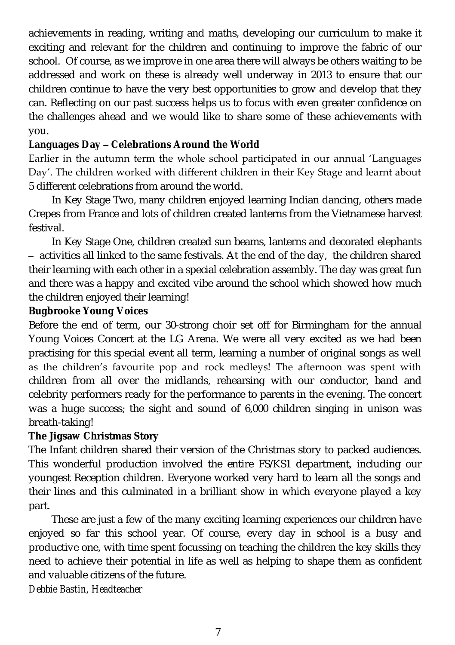achievements in reading, writing and maths, developing our curriculum to make it exciting and relevant for the children and continuing to improve the fabric of our school. Of course, as we improve in one area there will always be others waiting to be addressed and work on these is already well underway in 2013 to ensure that our children continue to have the very best opportunities to grow and develop that they can. Reflecting on our past success helps us to focus with even greater confidence on the challenges ahead and we would like to share some of these achievements with you.

**Languages Day – Celebrations Around the World**

Earlier in the autumn term the whole school participated in our annual 'Languages Day'. The children worked with different children in their Key Stage and learnt about 5 different celebrations from around the world.

In Key Stage Two, many children enjoyed learning Indian dancing, others made Crepes from France and lots of children created lanterns from the Vietnamese harvest festival.

In Key Stage One, children created sun beams, lanterns and decorated elephants – activities all linked to the same festivals. At the end of the day, the children shared their learning with each other in a special celebration assembly. The day was great fun and there was a happy and excited vibe around the school which showed how much the children enjoyed their learning!

**Bugbrooke Young Voices**

Before the end of term, our 30-strong choir set off for Birmingham for the annual Young Voices Concert at the LG Arena. We were all very excited as we had been practising for this special event all term, learning a number of original songs as well as the children's favourite pop and rock medleys! The afternoon was spent with children from all over the midlands, rehearsing with our conductor, band and celebrity performers ready for the performance to parents in the evening. The concert was a huge success; the sight and sound of 6,000 children singing in unison was breath-taking!

**The Jigsaw Christmas Story** 

The Infant children shared their version of the Christmas story to packed audiences. This wonderful production involved the entire FS/KS1 department, including our youngest Reception children. Everyone worked very hard to learn all the songs and their lines and this culminated in a brilliant show in which everyone played a key part.

These are just a few of the many exciting learning experiences our children have enjoyed so far this school year. Of course, every day in school is a busy and productive one, with time spent focussing on teaching the children the key skills they need to achieve their potential in life as well as helping to shape them as confident and valuable citizens of the future.

*Debbie Bastin, Headteacher*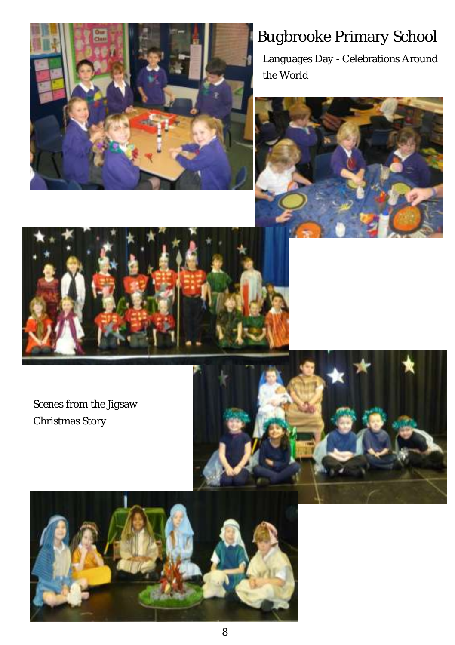

# Bugbrooke Primary School

Languages Day - Celebrations Around the World





Scenes from the Jigsaw Christmas Story



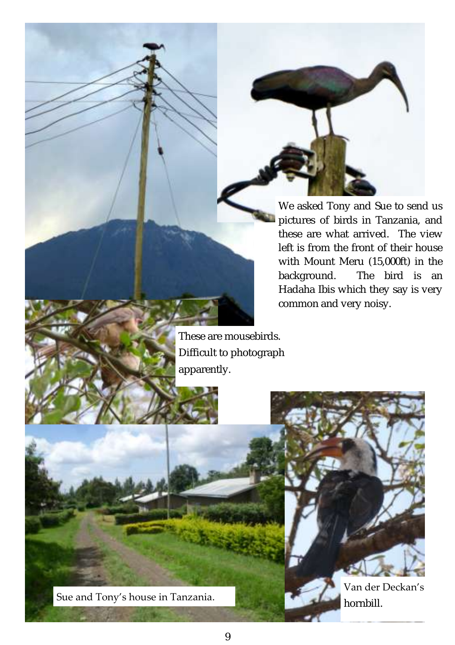We asked Tony and Sue to send us pictures of birds in Tanzania, and these are what arrived. The view left is from the front of their house with Mount Meru (15,000ft) in the background. The bird is an Hadaha Ibis which they say is very common and very noisy.

These are mousebirds. Difficult to photograph apparently.

Sue and Tony's house in Tanzania.

Van der Deckan's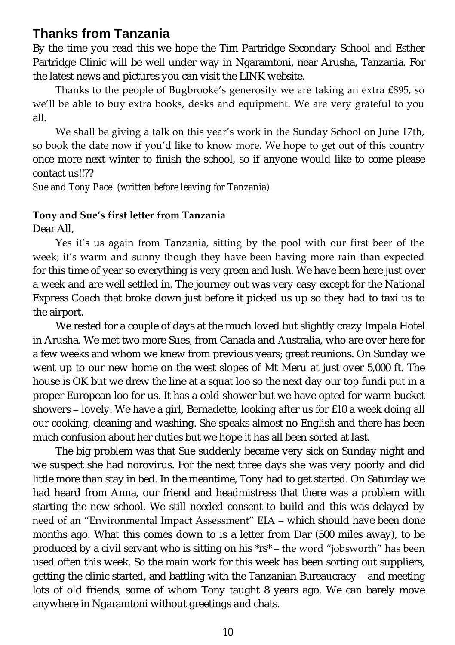### **Thanks from Tanzania**

By the time you read this we hope the Tim Partridge Secondary School and Esther Partridge Clinic will be well under way in Ngaramtoni, near Arusha, Tanzania. For the latest news and pictures you can visit the LINK website.

Thanks to the people of Bugbrooke's generosity we are taking an extra £895, so we'll be able to buy extra books, desks and equipment. We are very grateful to you all.

We shall be giving a talk on this year's work in the Sunday School on June 17th, so book the date now if you'd like to know more. We hope to get out of this country once more next winter to finish the school, so if anyone would like to come please contact us!!??

*Sue and Tony Pace (written before leaving for Tanzania)*

#### **Tony and Sue's first letter from Tanzania**

Dear All,

Yes it's us again from Tanzania, sitting by the pool with our first beer of the week; it's warm and sunny though they have been having more rain than expected for this time of year so everything is very green and lush. We have been here just over a week and are well settled in. The journey out was very easy except for the National Express Coach that broke down just before it picked us up so they had to taxi us to the airport.

We rested for a couple of days at the much loved but slightly crazy Impala Hotel in Arusha. We met two more Sues, from Canada and Australia, who are over here for a few weeks and whom we knew from previous years; great reunions. On Sunday we went up to our new home on the west slopes of Mt Meru at just over 5,000 ft. The house is OK but we drew the line at a squat loo so the next day our top fundi put in a proper European loo for us. It has a cold shower but we have opted for warm bucket showers – lovely. We have a girl, Bernadette, looking after us for £10 a week doing all our cooking, cleaning and washing. She speaks almost no English and there has been much confusion about her duties but we hope it has all been sorted at last.

The big problem was that Sue suddenly became very sick on Sunday night and we suspect she had norovirus. For the next three days she was very poorly and did little more than stay in bed. In the meantime, Tony had to get started. On Saturday we had heard from Anna, our friend and headmistress that there was a problem with starting the new school. We still needed consent to build and this was delayed by need of an "Environmental Impact Assessment" EIA – which should have been done months ago. What this comes down to is a letter from Dar (500 miles away), to be produced by a civil servant who is sitting on his  $*rs^*$  – the word "jobsworth" has been used often this week. So the main work for this week has been sorting out suppliers, getting the clinic started, and battling with the Tanzanian Bureaucracy – and meeting lots of old friends, some of whom Tony taught 8 years ago. We can barely move anywhere in Ngaramtoni without greetings and chats.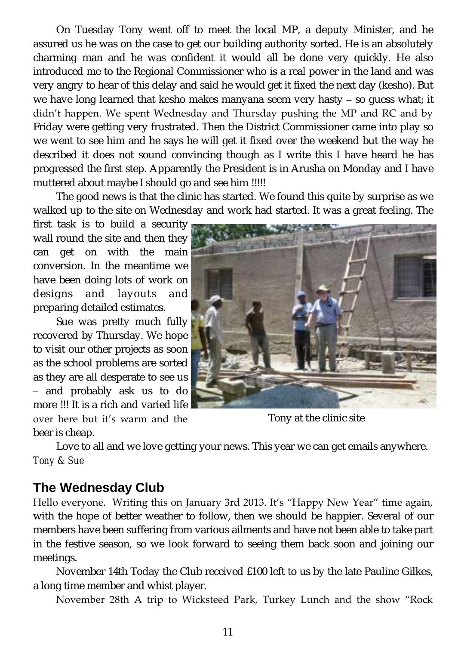On Tuesday Tony went off to meet the local MP, a deputy Minister, and he assured us he was on the case to get our building authority sorted. He is an absolutely charming man and he was confident it would all be done very quickly. He also introduced me to the Regional Commissioner who is a real power in the land and was very angry to hear of this delay and said he would get it fixed the next day (kesho). But we have long learned that kesho makes manyana seem very hasty – so guess what; it didn't happen. We spent Wednesday and Thursday pushing the MP and RC and by Friday were getting very frustrated. Then the District Commissioner came into play so we went to see him and he says he will get it fixed over the weekend but the way he described it does not sound convincing though as I write this I have heard he has progressed the first step. Apparently the President is in Arusha on Monday and I have muttered about maybe I should go and see him !!!!!

The good news is that the clinic has started. We found this quite by surprise as we walked up to the site on Wednesday and work had started. It was a great feeling. The

first task is to build a security wall round the site and then they can get on with the main conversion. In the meantime we have been doing lots of work on designs and layouts and preparing detailed estimates.

Sue was pretty much fully recovered by Thursday. We hope to visit our other projects as soon as the school problems are sorted as they are all desperate to see us – and probably ask us to do more !!! It is a rich and varied life

over here but it's warm and the beer is cheap.

Tony at the clinic site

Love to all and we love getting your news. This year we can get emails anywhere. *Tony & Sue*

### **The Wednesday Club**

Hello everyone. Writing this on January 3rd 2013. It's "Happy New Year" time again, with the hope of better weather to follow, then we should be happier. Several of our members have been suffering from various ailments and have not been able to take part in the festive season, so we look forward to seeing them back soon and joining our meetings.

November 14th Today the Club received £100 left to us by the late Pauline Gilkes, a long time member and whist player.

November 28th A trip to Wicksteed Park, Turkey Lunch and the show "Rock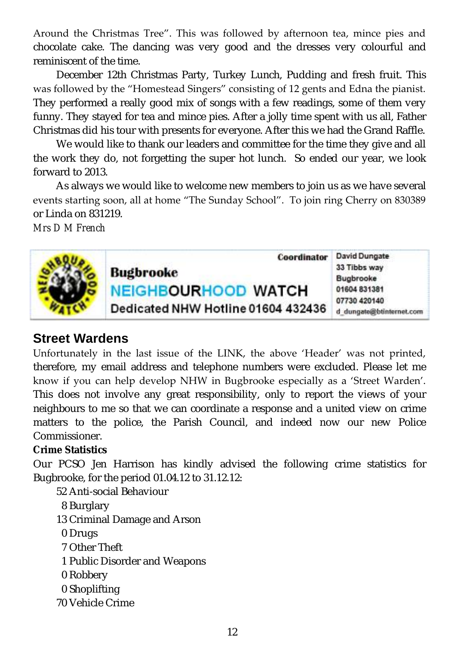Around the Christmas Tree". This was followed by afternoon tea, mince pies and chocolate cake. The dancing was very good and the dresses very colourful and reminiscent of the time.

December 12th Christmas Party, Turkey Lunch, Pudding and fresh fruit. This was followed by the "Homestead Singers" consisting of 12 gents and Edna the pianist. They performed a really good mix of songs with a few readings, some of them very funny. They stayed for tea and mince pies. After a jolly time spent with us all, Father Christmas did his tour with presents for everyone. After this we had the Grand Raffle.

We would like to thank our leaders and committee for the time they give and all the work they do, not forgetting the super hot lunch. So ended our year, we look forward to 2013.

As always we would like to welcome new members to join us as we have several events starting soon, all at home "The Sunday School". To join ring Cherry on 830389 or Linda on 831219.

*Mrs D M French*



### **Street Wardens**

Unfortunately in the last issue of the LINK, the above 'Header' was not printed, therefore, my email address and telephone numbers were excluded. Please let me know if you can help develop NHW in Bugbrooke especially as a 'Street Warden'. This does not involve any great responsibility, only to report the views of your neighbours to me so that we can coordinate a response and a united view on crime matters to the police, the Parish Council, and indeed now our new Police Commissioner.

**Crime Statistics**

Our PCSO Jen Harrison has kindly advised the following crime statistics for Bugbrooke, for the period 01.04.12 to 31.12.12:

- 52 Anti-social Behaviour
- 8 Burglary
- 13 Criminal Damage and Arson
- 0 Drugs
- 7 Other Theft
- 1 Public Disorder and Weapons
- 0 Robbery
- 0 Shoplifting
- 70 Vehicle Crime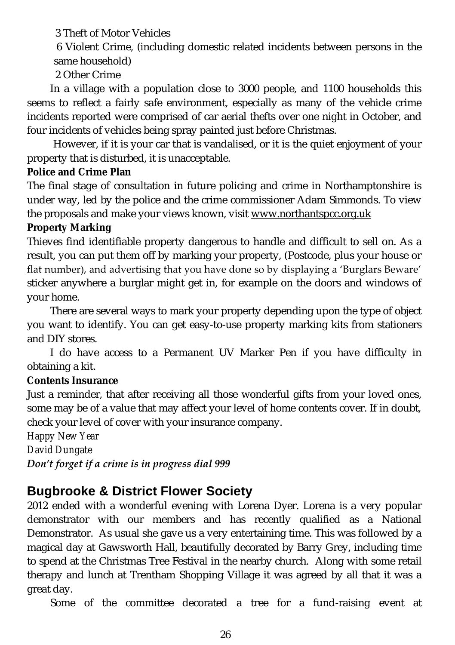3 Theft of Motor Vehicles

6 Violent Crime, (including domestic related incidents between persons in the same household)

2 Other Crime

In a village with a population close to 3000 people, and 1100 households this seems to reflect a fairly safe environment, especially as many of the vehicle crime incidents reported were comprised of car aerial thefts over one night in October, and four incidents of vehicles being spray painted just before Christmas.

However, if it is your car that is vandalised, or it is the quiet enjoyment of your property that is disturbed, it is unacceptable.

**Police and Crime Plan**

The final stage of consultation in future policing and crime in Northamptonshire is under way, led by the police and the crime commissioner Adam Simmonds. To view the proposals and make your views known, visit [www.northantspcc.org.uk](http://www.northantspcc.org.uk) **Property Marking**

Thieves find identifiable property dangerous to handle and difficult to sell on. As a result, you can put them off by marking your property, (Postcode, plus your house or flat number), and advertising that you have done so by displaying a 'Burglars Beware' sticker anywhere a burglar might get in, for example on the doors and windows of your home.

There are several ways to mark your property depending upon the type of object you want to identify. You can get easy-to-use property marking kits from stationers and DIY stores.

I do have access to a Permanent UV Marker Pen if you have difficulty in obtaining a kit.

**Contents Insurance**

Just a reminder, that after receiving all those wonderful gifts from your loved ones, some may be of a value that may affect your level of home contents cover. If in doubt, check your level of cover with your insurance company.

*Happy New Year* 

*David Dungate*

*Don't forget if a crime is in progress dial 999*

### **Bugbrooke & District Flower Society**

2012 ended with a wonderful evening with Lorena Dyer. Lorena is a very popular demonstrator with our members and has recently qualified as a National Demonstrator. As usual she gave us a very entertaining time. This was followed by a magical day at Gawsworth Hall, beautifully decorated by Barry Grey, including time to spend at the Christmas Tree Festival in the nearby church. Along with some retail therapy and lunch at Trentham Shopping Village it was agreed by all that it was a great day.

Some of the committee decorated a tree for a fund-raising event at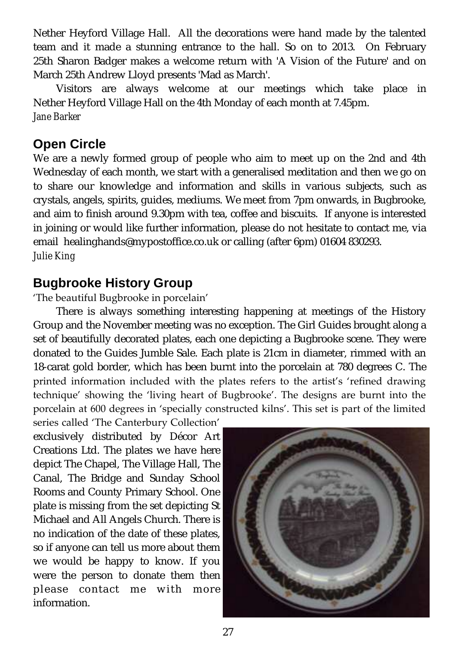Nether Heyford Village Hall. All the decorations were hand made by the talented team and it made a stunning entrance to the hall. So on to 2013. On February 25th Sharon Badger makes a welcome return with 'A Vision of the Future' and on March 25th Andrew Lloyd presents 'Mad as March'.

Visitors are always welcome at our meetings which take place in Nether Heyford Village Hall on the 4th Monday of each month at 7.45pm. *Jane Barker*

### **Open Circle**

We are a newly formed group of people who aim to meet up on the 2nd and 4th Wednesday of each month, we start with a generalised meditation and then we go on to share our knowledge and information and skills in various subjects, such as crystals, angels, spirits, guides, mediums. We meet from 7pm onwards, in Bugbrooke, and aim to finish around 9.30pm with tea, coffee and biscuits. If anyone is interested in joining or would like further information, please do not hesitate to contact me, via email [healinghands@mypostoffice.co.uk](mailto:healinghands@mypostoffice.co.uk) or calling (after 6pm) 01604 830293. *Julie King*

### **Bugbrooke History Group**

### 'The beautiful Bugbrooke in porcelain'

There is always something interesting happening at meetings of the History Group and the November meeting was no exception. The Girl Guides brought along a set of beautifully decorated plates, each one depicting a Bugbrooke scene. They were donated to the Guides Jumble Sale. Each plate is 21cm in diameter, rimmed with an 18-carat gold border, which has been burnt into the porcelain at 780 degrees C. The printed information included with the plates refers to the artist's 'refined drawing technique' showing the 'living heart of Bugbrooke'. The designs are burnt into the porcelain at 600 degrees in 'specially constructed kilns'. This set is part of the limited

series called 'The Canterbury Collection' exclusively distributed by Décor Art Creations Ltd. The plates we have here depict The Chapel, The Village Hall, The Canal, The Bridge and Sunday School Rooms and County Primary School. One plate is missing from the set depicting St Michael and All Angels Church. There is no indication of the date of these plates, so if anyone can tell us more about them we would be happy to know. If you were the person to donate them then please contact me with more information.

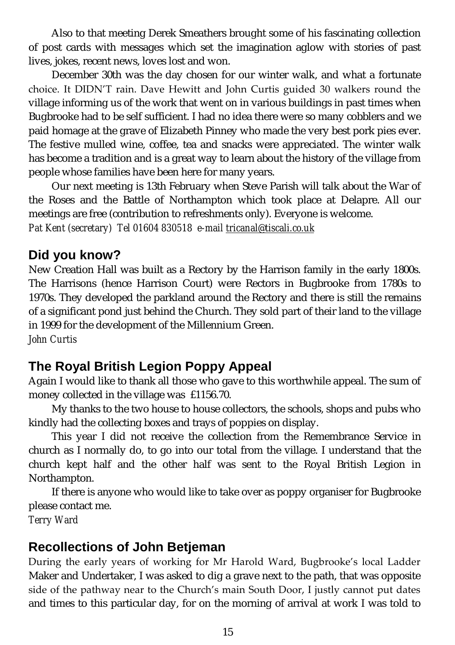Also to that meeting Derek Smeathers brought some of his fascinating collection of post cards with messages which set the imagination aglow with stories of past lives, jokes, recent news, loves lost and won.

December 30th was the day chosen for our winter walk, and what a fortunate choice. It DIDN'T rain. Dave Hewitt and John Curtis guided 30 walkers round the village informing us of the work that went on in various buildings in past times when Bugbrooke had to be self sufficient. I had no idea there were so many cobblers and we paid homage at the grave of Elizabeth Pinney who made the very best pork pies ever. The festive mulled wine, coffee, tea and snacks were appreciated. The winter walk has become a tradition and is a great way to learn about the history of the village from people whose families have been here for many years.

Our next meeting is 13th February when Steve Parish will talk about the War of the Roses and the Battle of Northampton which took place at Delapre. All our meetings are free (contribution to refreshments only). Everyone is welcome. *Pat Kent (secretary) Tel 01604 830518 e-mail [tricanal@tiscali.co.uk](mailto:tricanal@tiscali.co.uk)*

### **Did you know?**

New Creation Hall was built as a Rectory by the Harrison family in the early 1800s. The Harrisons (hence Harrison Court) were Rectors in Bugbrooke from 1780s to 1970s. They developed the parkland around the Rectory and there is still the remains of a significant pond just behind the Church. They sold part of their land to the village in 1999 for the development of the Millennium Green. *John Curtis*

### **The Royal British Legion Poppy Appeal**

Again I would like to thank all those who gave to this worthwhile appeal. The sum of money collected in the village was £1156.70.

My thanks to the two house to house collectors, the schools, shops and pubs who kindly had the collecting boxes and trays of poppies on display.

This year I did not receive the collection from the Remembrance Service in church as I normally do, to go into our total from the village. I understand that the church kept half and the other half was sent to the Royal British Legion in Northampton.

If there is anyone who would like to take over as poppy organiser for Bugbrooke please contact me.

*Terry Ward*

### **Recollections of John Betjeman**

During the early years of working for Mr Harold Ward, Bugbrooke's local Ladder Maker and Undertaker, I was asked to dig a grave next to the path, that was opposite side of the pathway near to the Church's main South Door, I justly cannot put dates and times to this particular day, for on the morning of arrival at work I was told to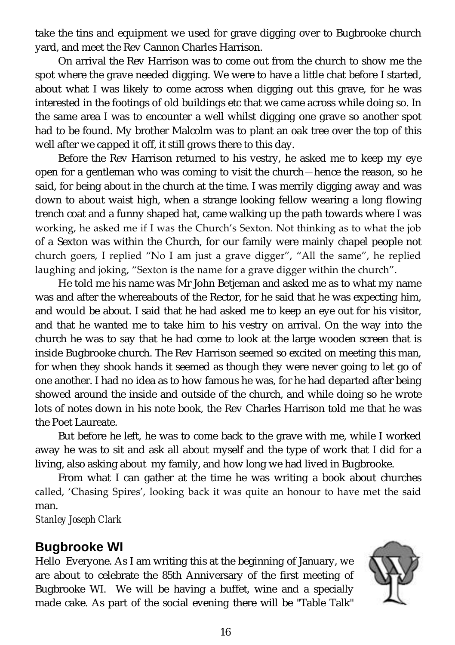take the tins and equipment we used for grave digging over to Bugbrooke church yard, and meet the Rev Cannon Charles Harrison.

On arrival the Rev Harrison was to come out from the church to show me the spot where the grave needed digging. We were to have a little chat before I started, about what I was likely to come across when digging out this grave, for he was interested in the footings of old buildings etc that we came across while doing so. In the same area I was to encounter a well whilst digging one grave so another spot had to be found. My brother Malcolm was to plant an oak tree over the top of this well after we capped it off, it still grows there to this day.

Before the Rev Harrison returned to his vestry, he asked me to keep my eye open for a gentleman who was coming to visit the church—hence the reason, so he said, for being about in the church at the time. I was merrily digging away and was down to about waist high, when a strange looking fellow wearing a long flowing trench coat and a funny shaped hat, came walking up the path towards where I was working, he asked me if I was the Church's Sexton. Not thinking as to what the job of a Sexton was within the Church, for our family were mainly chapel people not church goers, I replied "No I am just a grave digger", "All the same", he replied laughing and joking, "Sexton is the name for a grave digger within the church".

He told me his name was Mr John Betjeman and asked me as to what my name was and after the whereabouts of the Rector, for he said that he was expecting him, and would be about. I said that he had asked me to keep an eye out for his visitor, and that he wanted me to take him to his vestry on arrival. On the way into the church he was to say that he had come to look at the large wooden screen that is inside Bugbrooke church. The Rev Harrison seemed so excited on meeting this man, for when they shook hands it seemed as though they were never going to let go of one another. I had no idea as to how famous he was, for he had departed after being showed around the inside and outside of the church, and while doing so he wrote lots of notes down in his note book, the Rev Charles Harrison told me that he was the Poet Laureate.

But before he left, he was to come back to the grave with me, while I worked away he was to sit and ask all about myself and the type of work that I did for a living, also asking about my family, and how long we had lived in Bugbrooke.

From what I can gather at the time he was writing a book about churches called, 'Chasing Spires', looking back it was quite an honour to have met the said man.

*Stanley Joseph Clark*

### **Bugbrooke WI**

Hello Everyone. As I am writing this at the beginning of January, we are about to celebrate the 85th Anniversary of the first meeting of Bugbrooke WI. We will be having a buffet, wine and a specially made cake. As part of the social evening there will be "Table Talk"

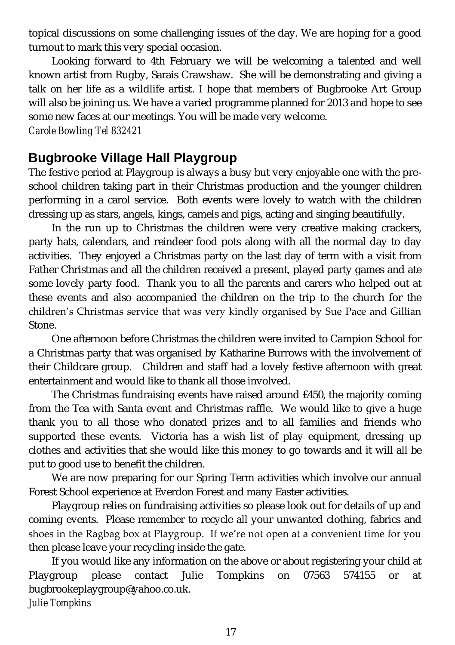topical discussions on some challenging issues of the day. We are hoping for a good turnout to mark this very special occasion.

Looking forward to 4th February we will be welcoming a talented and well known artist from Rugby, Sarais Crawshaw. She will be demonstrating and giving a talk on her life as a wildlife artist. I hope that members of Bugbrooke Art Group will also be joining us. We have a varied programme planned for 2013 and hope to see some new faces at our meetings. You will be made very welcome.

*Carole Bowling Tel 832421*

### **Bugbrooke Village Hall Playgroup**

The festive period at Playgroup is always a busy but very enjoyable one with the preschool children taking part in their Christmas production and the younger children performing in a carol service. Both events were lovely to watch with the children dressing up as stars, angels, kings, camels and pigs, acting and singing beautifully.

In the run up to Christmas the children were very creative making crackers, party hats, calendars, and reindeer food pots along with all the normal day to day activities. They enjoyed a Christmas party on the last day of term with a visit from Father Christmas and all the children received a present, played party games and ate some lovely party food. Thank you to all the parents and carers who helped out at these events and also accompanied the children on the trip to the church for the children's Christmas service that was very kindly organised by Sue Pace and Gillian Stone.

One afternoon before Christmas the children were invited to Campion School for a Christmas party that was organised by Katharine Burrows with the involvement of their Childcare group. Children and staff had a lovely festive afternoon with great entertainment and would like to thank all those involved.

The Christmas fundraising events have raised around £450, the majority coming from the Tea with Santa event and Christmas raffle. We would like to give a huge thank you to all those who donated prizes and to all families and friends who supported these events. Victoria has a wish list of play equipment, dressing up clothes and activities that she would like this money to go towards and it will all be put to good use to benefit the children.

We are now preparing for our Spring Term activities which involve our annual Forest School experience at Everdon Forest and many Easter activities.

Playgroup relies on fundraising activities so please look out for details of up and coming events. Please remember to recycle all your unwanted clothing, fabrics and shoes in the Ragbag box at Playgroup. If we're not open at a convenient time for you then please leave your recycling inside the gate.

If you would like any information on the above or about registering your child at Playgroup please contact Julie Tompkins on 07563 574155 or at [bugbrookeplaygroup@yahoo.co.uk.](mailto:bugbrookeplaygroup@yahoo.co.uk)

*Julie Tompkins*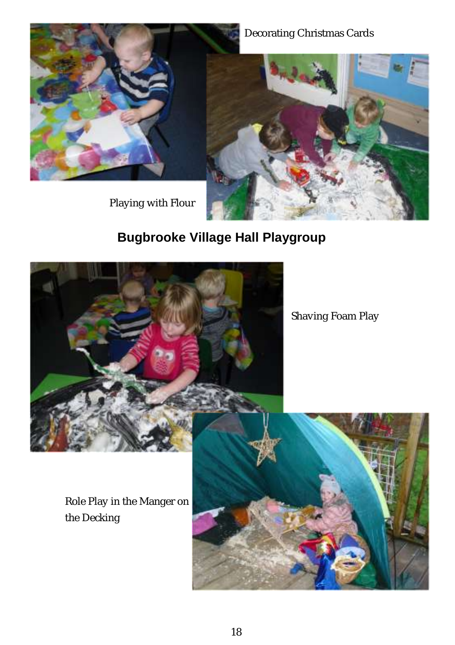### Decorating Christmas Cards



Playing with Flour



## **Bugbrooke Village Hall Playgroup**



Shaving Foam Play

Role Play in the Manger on the Decking

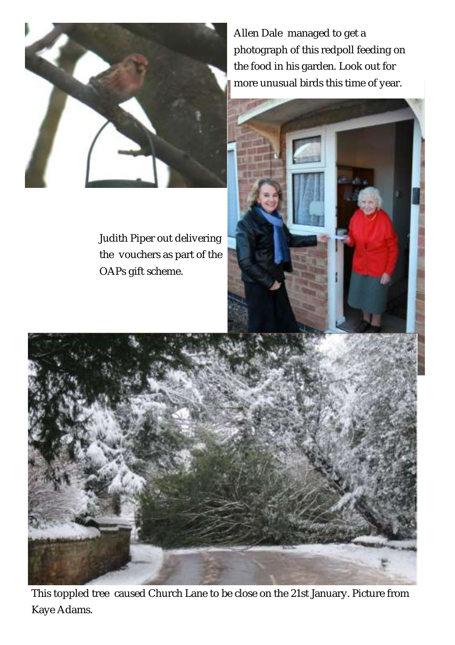

Judith Piper out delivering the vouchers as part of the OAPs gift scheme.

Allen Dale managed to get a photograph of this redpoll feeding on the food in his garden. Look out for more unusual birds this time of year.





This toppled tree caused Church Lane to be close on the 21st January. Picture from Kaye Adams.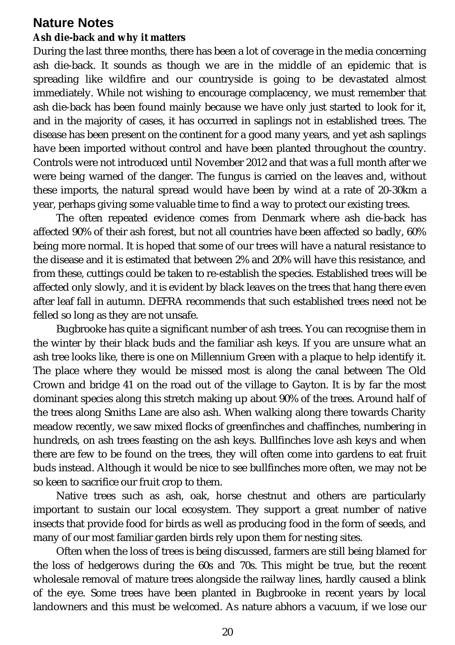### **Nature Notes**

#### **Ash die-back and why it matters**

During the last three months, there has been a lot of coverage in the media concerning ash die-back. It sounds as though we are in the middle of an epidemic that is spreading like wildfire and our countryside is going to be devastated almost immediately. While not wishing to encourage complacency, we must remember that ash die-back has been found mainly because we have only just started to look for it, and in the majority of cases, it has occurred in saplings not in established trees. The disease has been present on the continent for a good many years, and yet ash saplings have been imported without control and have been planted throughout the country. Controls were not introduced until November 2012 and that was a full month after we were being warned of the danger. The fungus is carried on the leaves and, without these imports, the natural spread would have been by wind at a rate of 20-30km a year, perhaps giving some valuable time to find a way to protect our existing trees.

The often repeated evidence comes from Denmark where ash die-back has affected 90% of their ash forest, but not all countries have been affected so badly, 60% being more normal. It is hoped that some of our trees will have a natural resistance to the disease and it is estimated that between 2% and 20% will have this resistance, and from these, cuttings could be taken to re-establish the species. Established trees will be affected only slowly, and it is evident by black leaves on the trees that hang there even after leaf fall in autumn. DEFRA recommends that such established trees need not be felled so long as they are not unsafe.

Bugbrooke has quite a significant number of ash trees. You can recognise them in the winter by their black buds and the familiar ash keys. If you are unsure what an ash tree looks like, there is one on Millennium Green with a plaque to help identify it. The place where they would be missed most is along the canal between The Old Crown and bridge 41 on the road out of the village to Gayton. It is by far the most dominant species along this stretch making up about 90% of the trees. Around half of the trees along Smiths Lane are also ash. When walking along there towards Charity meadow recently, we saw mixed flocks of greenfinches and chaffinches, numbering in hundreds, on ash trees feasting on the ash keys. Bullfinches love ash keys and when there are few to be found on the trees, they will often come into gardens to eat fruit buds instead. Although it would be nice to see bullfinches more often, we may not be so keen to sacrifice our fruit crop to them.

Native trees such as ash, oak, horse chestnut and others are particularly important to sustain our local ecosystem. They support a great number of native insects that provide food for birds as well as producing food in the form of seeds, and many of our most familiar garden birds rely upon them for nesting sites.

Often when the loss of trees is being discussed, farmers are still being blamed for the loss of hedgerows during the 60s and 70s. This might be true, but the recent wholesale removal of mature trees alongside the railway lines, hardly caused a blink of the eye. Some trees have been planted in Bugbrooke in recent years by local landowners and this must be welcomed. As nature abhors a vacuum, if we lose our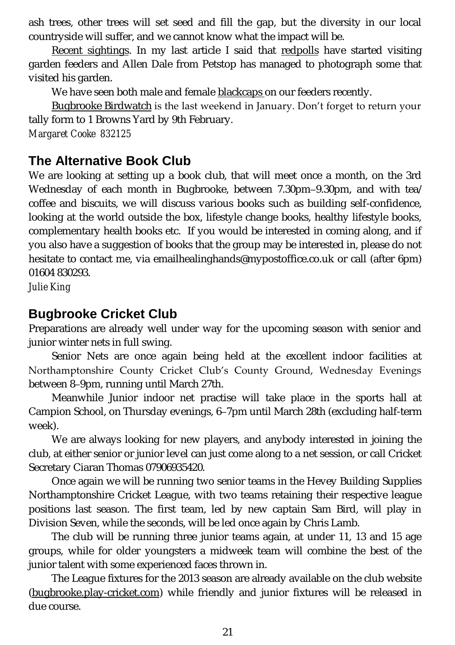ash trees, other trees will set seed and fill the gap, but the diversity in our local countryside will suffer, and we cannot know what the impact will be.

Recent sightings. In my last article I said that redpolls have started visiting garden feeders and Allen Dale from Petstop has managed to photograph some that visited his garden.

We have seen both male and female blackcaps on our feeders recently.

Bugbrooke Birdwatch is the last weekend in January. Don't forget to return your tally form to 1 Browns Yard by 9th February. *Margaret Cooke 832125*

### **The Alternative Book Club**

We are looking at setting up a book club, that will meet once a month, on the 3rd Wednesday of each month in Bugbrooke, between 7.30pm–9.30pm, and with tea/ coffee and biscuits, we will discuss various books such as building self-confidence, looking at the world outside the box, lifestyle change books, healthy lifestyle books, complementary health books etc. If you would be interested in coming along, and if you also have a suggestion of books that the group may be interested in, please do not hesitate to contact me, via email[healinghands@mypostoffice.co.uk](mailto:healinghands@mypostoffice.co.uk) or call (after 6pm) 01604 830293.

*Julie King*

### **Bugbrooke Cricket Club**

Preparations are already well under way for the upcoming season with senior and junior winter nets in full swing.

Senior Nets are once again being held at the excellent indoor facilities at Northamptonshire County Cricket Club's County Ground, Wednesday Evenings between 8–9pm, running until March 27th.

Meanwhile Junior indoor net practise will take place in the sports hall at Campion School, on Thursday evenings, 6–7pm until March 28th (excluding half-term week).

We are always looking for new players, and anybody interested in joining the club, at either senior or junior level can just come along to a net session, or call Cricket Secretary Ciaran Thomas 07906935420.

Once again we will be running two senior teams in the Hevey Building Supplies Northamptonshire Cricket League, with two teams retaining their respective league positions last season. The first team, led by new captain Sam Bird, will play in Division Seven, while the seconds, will be led once again by Chris Lamb.

The club will be running three junior teams again, at under 11, 13 and 15 age groups, while for older youngsters a midweek team will combine the best of the junior talent with some experienced faces thrown in.

The League fixtures for the 2013 season are already available on the club website [\(bugbrooke.play-cricket.com\)](http://bugbrooke.play-cricket.com) while friendly and junior fixtures will be released in due course.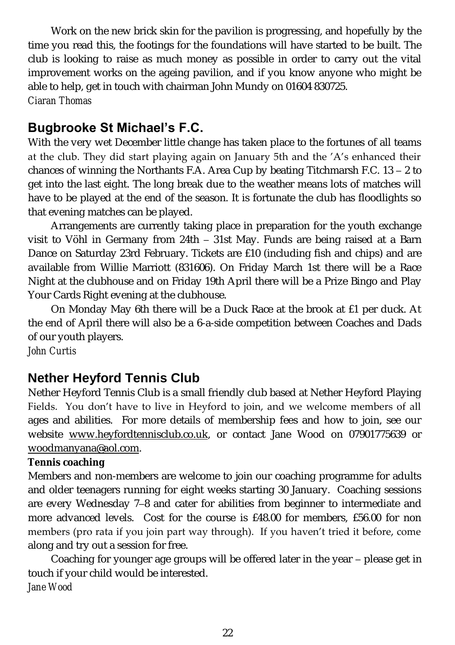Work on the new brick skin for the pavilion is progressing, and hopefully by the time you read this, the footings for the foundations will have started to be built. The club is looking to raise as much money as possible in order to carry out the vital improvement works on the ageing pavilion, and if you know anyone who might be able to help, get in touch with chairman John Mundy on 01604 830725. *Ciaran Thomas*

### **Bugbrooke St Michael's F.C.**

With the very wet December little change has taken place to the fortunes of all teams at the club. They did start playing again on January 5th and the 'A's enhanced their chances of winning the Northants F.A. Area Cup by beating Titchmarsh F.C. 13 – 2 to get into the last eight. The long break due to the weather means lots of matches will have to be played at the end of the season. It is fortunate the club has floodlights so that evening matches can be played.

Arrangements are currently taking place in preparation for the youth exchange visit to Vöhl in Germany from 24th – 31st May. Funds are being raised at a Barn Dance on Saturday 23rd February. Tickets are £10 (including fish and chips) and are available from Willie Marriott (831606). On Friday March 1st there will be a Race Night at the clubhouse and on Friday 19th April there will be a Prize Bingo and Play Your Cards Right evening at the clubhouse.

On Monday May 6th there will be a Duck Race at the brook at £1 per duck. At the end of April there will also be a 6-a-side competition between Coaches and Dads of our youth players.

*John Curtis*

### **Nether Heyford Tennis Club**

Nether Heyford Tennis Club is a small friendly club based at Nether Heyford Playing Fields. You don't have to live in Heyford to join, and we welcome members of all ages and abilities. For more details of membership fees and how to join, see our website [www.heyfordtennisclub.co.uk,](http://www.heyfordtennisclub.co.uk) or contact Jane Wood on 07901775639 or [woodmanyana@aol.com.](mailto:woodmanyana@aol.com)

#### **Tennis coaching**

Members and non-members are welcome to join our coaching programme for adults and older teenagers running for eight weeks starting 30 January. Coaching sessions are every Wednesday 7–8 and cater for abilities from beginner to intermediate and more advanced levels. Cost for the course is £48.00 for members, £56.00 for non members (pro rata if you join part way through). If you haven't tried it before, come along and try out a session for free.

Coaching for younger age groups will be offered later in the year – please get in touch if your child would be interested. *Jane Wood*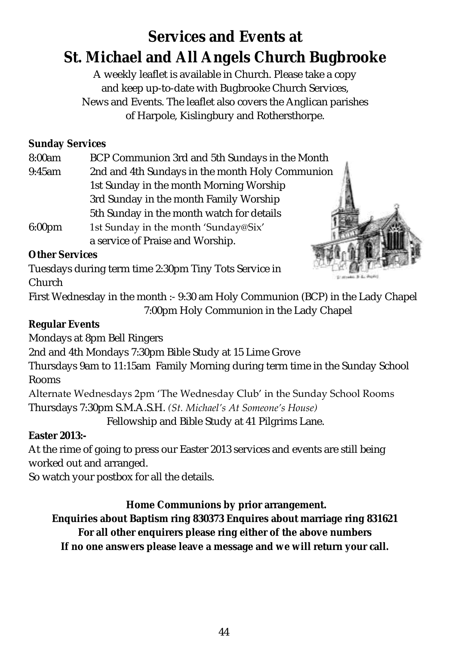# **Services and Events at St. Michael and All Angels Church Bugbrooke**

A weekly leaflet is available in Church. Please take a copy and keep up-to-date with Bugbrooke Church Services, News and Events. The leaflet also covers the Anglican parishes of Harpole, Kislingbury and Rothersthorpe.

**Sunday Services**

8:00am BCP Communion 3rd and 5th Sundays in the Month

9:45am 2nd and 4th Sundays in the month Holy Communion 1st Sunday in the month Morning Worship 3rd Sunday in the month Family Worship 5th Sunday in the month watch for details

6:00pm 1st Sunday in the month 'Sunday@Six' a service of Praise and Worship.



**Other Services**

Tuesdays during term time 2:30pm Tiny Tots Service in Church

First Wednesday in the month :- 9:30 am Holy Communion (BCP) in the Lady Chapel 7:00pm Holy Communion in the Lady Chapel

**Regular Events**

Mondays at 8pm Bell Ringers

2nd and 4th Mondays 7:30pm Bible Study at 15 Lime Grove

Thursdays 9am to 11:15am Family Morning during term time in the Sunday School Rooms

Alternate Wednesdays 2pm 'The Wednesday Club' in the Sunday School Rooms

Thursdays 7:30pm S.M.A.S.H. *(St. Michael's At Someone's House)*

Fellowship and Bible Study at 41 Pilgrims Lane.

**Easter 2013:-**

At the rime of going to press our Easter 2013 services and events are still being worked out and arranged.

So watch your postbox for all the details.

**Home Communions by prior arrangement.**

**Enquiries about Baptism ring 830373 Enquires about marriage ring 831621**

**For all other enquirers please ring either of the above numbers**

**If no one answers please leave a message and we will return your call.**